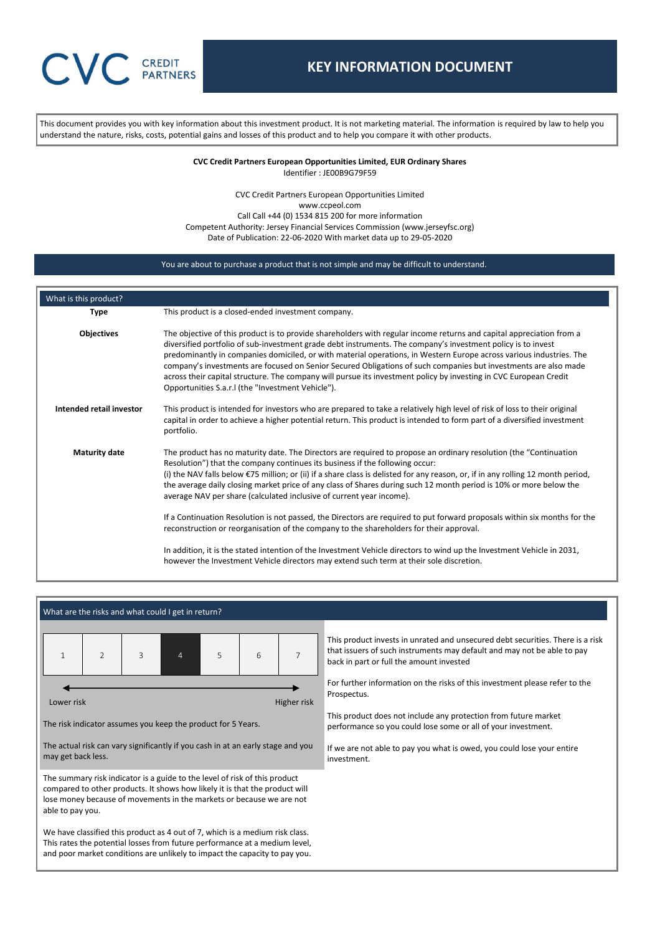This document provides you with key information about this investment product. It is not marketing material. The information is required by law to help you understand the nature, risks, costs, potential gains and losses of this product and to help you compare it with other products.

> **CVC Credit Partners European Opportunities Limited, EUR Ordinary Shares** Identifier : JE00B9G79F59

CVC Credit Partners European Opportunities Limited www.ccpeol.com Call Call +44 (0) 1534 815 200 for more information Competent Authority: Jersey Financial Services Commission (www.jerseyfsc.org) Date of Publication: 22-06-2020 With market data up to 29-05-2020

## You are about to purchase a product that is not simple and may be difficult to understand.

| What is this product?    |                                                                                                                                                                                                                                                                                                                                                                                                                                                                                                                                                                                                                                                                                                                                                                                                                                                                                                                                                                                             |
|--------------------------|---------------------------------------------------------------------------------------------------------------------------------------------------------------------------------------------------------------------------------------------------------------------------------------------------------------------------------------------------------------------------------------------------------------------------------------------------------------------------------------------------------------------------------------------------------------------------------------------------------------------------------------------------------------------------------------------------------------------------------------------------------------------------------------------------------------------------------------------------------------------------------------------------------------------------------------------------------------------------------------------|
| <b>Type</b>              | This product is a closed-ended investment company.                                                                                                                                                                                                                                                                                                                                                                                                                                                                                                                                                                                                                                                                                                                                                                                                                                                                                                                                          |
| <b>Objectives</b>        | The objective of this product is to provide shareholders with regular income returns and capital appreciation from a<br>diversified portfolio of sub-investment grade debt instruments. The company's investment policy is to invest<br>predominantly in companies domiciled, or with material operations, in Western Europe across various industries. The<br>company's investments are focused on Senior Secured Obligations of such companies but investments are also made<br>across their capital structure. The company will pursue its investment policy by investing in CVC European Credit<br>Opportunities S.a.r.I (the "Investment Vehicle").                                                                                                                                                                                                                                                                                                                                    |
| Intended retail investor | This product is intended for investors who are prepared to take a relatively high level of risk of loss to their original<br>capital in order to achieve a higher potential return. This product is intended to form part of a diversified investment<br>portfolio.                                                                                                                                                                                                                                                                                                                                                                                                                                                                                                                                                                                                                                                                                                                         |
| <b>Maturity date</b>     | The product has no maturity date. The Directors are required to propose an ordinary resolution (the "Continuation"<br>Resolution") that the company continues its business if the following occur:<br>(i) the NAV falls below $\epsilon$ 75 million; or (ii) if a share class is delisted for any reason, or, if in any rolling 12 month period,<br>the average daily closing market price of any class of Shares during such 12 month period is 10% or more below the<br>average NAV per share (calculated inclusive of current year income).<br>If a Continuation Resolution is not passed, the Directors are required to put forward proposals within six months for the<br>reconstruction or reorganisation of the company to the shareholders for their approval.<br>In addition, it is the stated intention of the Investment Vehicle directors to wind up the Investment Vehicle in 2031,<br>however the Investment Vehicle directors may extend such term at their sole discretion. |

|                                                                                                                                                                                                                                          |                |   | What are the risks and what could I get in return?                                                                                                                                                                                |   |   |                                                                                                                                  |                                                                                                                                                                                                       |
|------------------------------------------------------------------------------------------------------------------------------------------------------------------------------------------------------------------------------------------|----------------|---|-----------------------------------------------------------------------------------------------------------------------------------------------------------------------------------------------------------------------------------|---|---|----------------------------------------------------------------------------------------------------------------------------------|-------------------------------------------------------------------------------------------------------------------------------------------------------------------------------------------------------|
|                                                                                                                                                                                                                                          | $\overline{2}$ | 3 | 4                                                                                                                                                                                                                                 | 5 | 6 | $\overline{7}$                                                                                                                   | This product invests in unrated and unsecured debt securities. There is a risk<br>that issuers of such instruments may default and may not be able to pay<br>back in part or full the amount invested |
| Lower risk                                                                                                                                                                                                                               |                |   |                                                                                                                                                                                                                                   |   |   | Higher risk                                                                                                                      | For further information on the risks of this investment please refer to the<br>Prospectus.                                                                                                            |
| The risk indicator assumes you keep the product for 5 Years.                                                                                                                                                                             |                |   |                                                                                                                                                                                                                                   |   |   | This product does not include any protection from future market<br>performance so you could lose some or all of your investment. |                                                                                                                                                                                                       |
| The actual risk can vary significantly if you cash in at an early stage and you<br>may get back less.                                                                                                                                    |                |   |                                                                                                                                                                                                                                   |   |   | If we are not able to pay you what is owed, you could lose your entire<br>investment.                                            |                                                                                                                                                                                                       |
| able to pay you.                                                                                                                                                                                                                         |                |   | The summary risk indicator is a guide to the level of risk of this product<br>compared to other products. It shows how likely it is that the product will<br>lose money because of movements in the markets or because we are not |   |   |                                                                                                                                  |                                                                                                                                                                                                       |
| We have classified this product as 4 out of 7, which is a medium risk class.<br>This rates the potential losses from future performance at a medium level,<br>and poor market conditions are unlikely to impact the capacity to pay you. |                |   |                                                                                                                                                                                                                                   |   |   |                                                                                                                                  |                                                                                                                                                                                                       |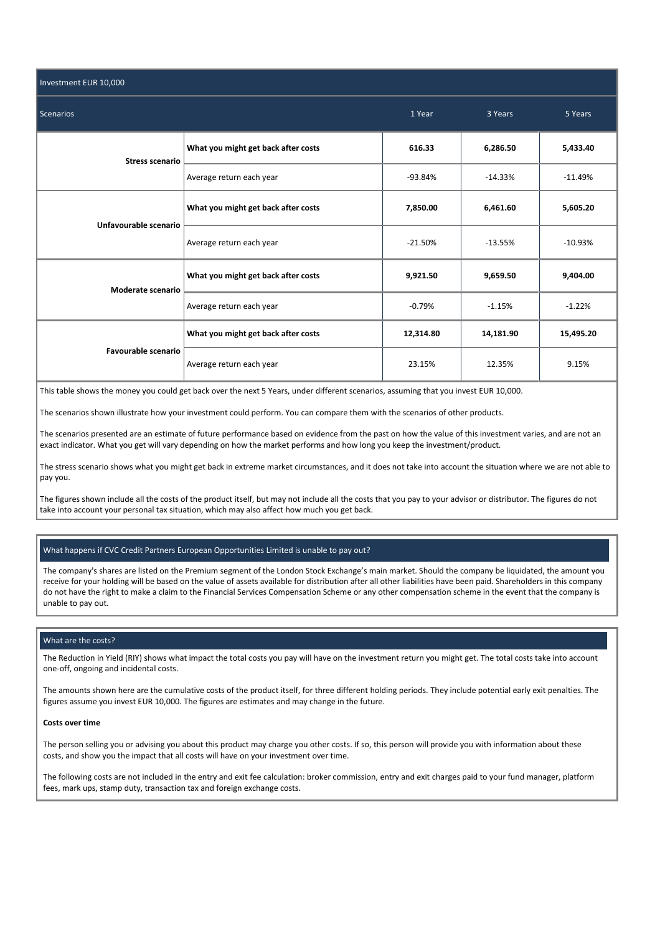| Investment EUR 10,000      |                                     |           |           |           |  |  |
|----------------------------|-------------------------------------|-----------|-----------|-----------|--|--|
| <b>Scenarios</b>           |                                     | 1 Year    | 3 Years   | 5 Years   |  |  |
| <b>Stress scenario</b>     | What you might get back after costs | 616.33    | 6,286.50  | 5,433.40  |  |  |
|                            | Average return each year            | $-93.84%$ | $-14.33%$ | $-11.49%$ |  |  |
| Unfavourable scenario      | What you might get back after costs | 7,850.00  | 6,461.60  | 5,605.20  |  |  |
|                            | Average return each year            | $-21.50%$ | $-13.55%$ | $-10.93%$ |  |  |
| Moderate scenario          | What you might get back after costs | 9,921.50  | 9,659.50  | 9,404.00  |  |  |
|                            | Average return each year            | $-0.79%$  | $-1.15%$  | $-1.22%$  |  |  |
|                            | What you might get back after costs | 12,314.80 | 14,181.90 | 15,495.20 |  |  |
| <b>Favourable scenario</b> | Average return each year            | 23.15%    | 12.35%    | 9.15%     |  |  |

This table shows the money you could get back over the next 5 Years, under different scenarios, assuming that you invest EUR 10,000.

The scenarios shown illustrate how your investment could perform. You can compare them with the scenarios of other products.

The scenarios presented are an estimate of future performance based on evidence from the past on how the value of this investment varies, and are not an exact indicator. What you get will vary depending on how the market performs and how long you keep the investment/product.

The stress scenario shows what you might get back in extreme market circumstances, and it does not take into account the situation where we are not able to pay you.

The figures shown include all the costs of the product itself, but may not include all the costs that you pay to your advisor or distributor. The figures do not take into account your personal tax situation, which may also affect how much you get back.

# What happens if CVC Credit Partners European Opportunities Limited is unable to pay out?

The company's shares are listed on the Premium segment of the London Stock Exchange's main market. Should the company be liquidated, the amount you receive for your holding will be based on the value of assets available for distribution after all other liabilities have been paid. Shareholders in this company do not have the right to make a claim to the Financial Services Compensation Scheme or any other compensation scheme in the event that the company is unable to pay out.

## What are the costs?

The Reduction in Yield (RIY) shows what impact the total costs you pay will have on the investment return you might get. The total costs take into account one-off, ongoing and incidental costs.

The amounts shown here are the cumulative costs of the product itself, for three different holding periods. They include potential early exit penalties. The figures assume you invest EUR 10,000. The figures are estimates and may change in the future.

#### **Costs over time**

The person selling you or advising you about this product may charge you other costs. If so, this person will provide you with information about these costs, and show you the impact that all costs will have on your investment over time.

The following costs are not included in the entry and exit fee calculation: broker commission, entry and exit charges paid to your fund manager, platform fees, mark ups, stamp duty, transaction tax and foreign exchange costs.